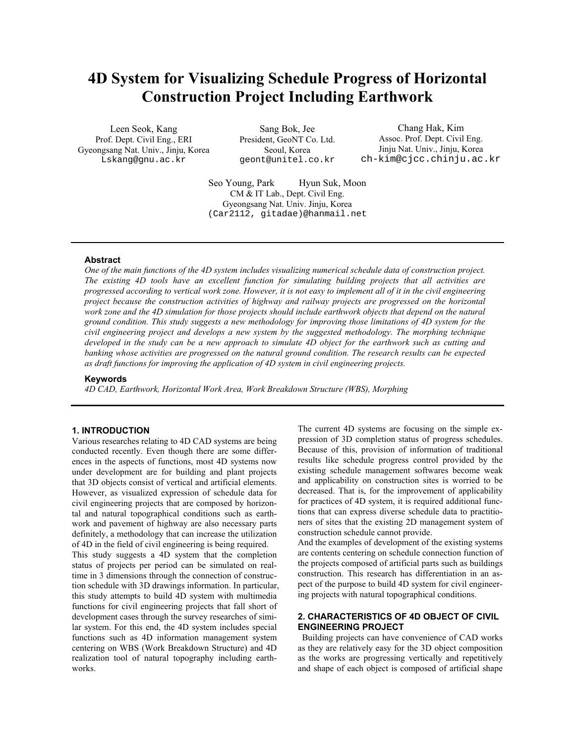# **4D System for Visualizing Schedule Progress of Horizontal Construction Project Including Earthwork**

Leen Seok, Kang Prof. Dept. Civil Eng., ERI Gyeongsang Nat. Univ., Jinju, Korea Lskang@gnu.ac.kr

Sang Bok, Jee President, GeoNT Co. Ltd. Seoul, Korea geont@unitel.co.kr

Chang Hak, Kim Assoc. Prof. Dept. Civil Eng. Jinju Nat. Univ., Jinju, Korea ch-kim@cjcc.chinju.ac.kr

Seo Young, Park Hyun Suk, Moon CM & IT Lab., Dept. Civil Eng. Gyeongsang Nat. Univ. Jinju, Korea (Car2112, gitadae)@hanmail.net

## **Abstract**

*One of the main functions of the 4D system includes visualizing numerical schedule data of construction project. The existing 4D tools have an excellent function for simulating building projects that all activities are progressed according to vertical work zone. However, it is not easy to implement all of it in the civil engineering project because the construction activities of highway and railway projects are progressed on the horizontal work zone and the 4D simulation for those projects should include earthwork objects that depend on the natural ground condition. This study suggests a new methodology for improving those limitations of 4D system for the civil engineering project and develops a new system by the suggested methodology. The morphing technique developed in the study can be a new approach to simulate 4D object for the earthwork such as cutting and banking whose activities are progressed on the natural ground condition. The research results can be expected as draft functions for improving the application of 4D system in civil engineering projects.* 

#### **Keywords**

*4D CAD, Earthwork, Horizontal Work Area, Work Breakdown Structure (WBS), Morphing* 

#### **1. INTRODUCTION**

Various researches relating to 4D CAD systems are being conducted recently. Even though there are some differences in the aspects of functions, most 4D systems now under development are for building and plant projects that 3D objects consist of vertical and artificial elements. However, as visualized expression of schedule data for civil engineering projects that are composed by horizontal and natural topographical conditions such as earthwork and pavement of highway are also necessary parts definitely, a methodology that can increase the utilization of 4D in the field of civil engineering is being required.

This study suggests a 4D system that the completion status of projects per period can be simulated on realtime in 3 dimensions through the connection of construction schedule with 3D drawings information. In particular, this study attempts to build 4D system with multimedia functions for civil engineering projects that fall short of development cases through the survey researches of similar system. For this end, the 4D system includes special functions such as 4D information management system centering on WBS (Work Breakdown Structure) and 4D realization tool of natural topography including earthworks.

The current 4D systems are focusing on the simple expression of 3D completion status of progress schedules. Because of this, provision of information of traditional results like schedule progress control provided by the existing schedule management softwares become weak and applicability on construction sites is worried to be decreased. That is, for the improvement of applicability for practices of 4D system, it is required additional functions that can express diverse schedule data to practitioners of sites that the existing 2D management system of construction schedule cannot provide.

And the examples of development of the existing systems are contents centering on schedule connection function of the projects composed of artificial parts such as buildings construction. This research has differentiation in an aspect of the purpose to build 4D system for civil engineering projects with natural topographical conditions.

# **2. CHARACTERISTICS OF 4D OBJECT OF CIVIL ENGINEERING PROJECT**

 Building projects can have convenience of CAD works as they are relatively easy for the 3D object composition as the works are progressing vertically and repetitively and shape of each object is composed of artificial shape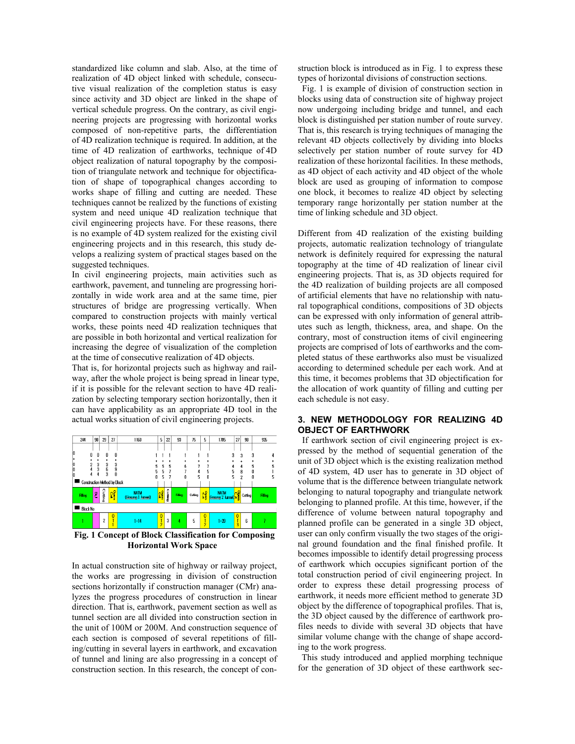standardized like column and slab. Also, at the time of realization of 4D object linked with schedule, consecutive visual realization of the completion status is easy since activity and 3D object are linked in the shape of vertical schedule progress. On the contrary, as civil engineering projects are progressing with horizontal works composed of non-repetitive parts, the differentiation of 4D realization technique is required. In addition, at the time of 4D realization of earthworks, technique of 4D object realization of natural topography by the composition of triangulate network and technique for objectification of shape of topographical changes according to works shape of filling and cutting are needed. These techniques cannot be realized by the functions of existing system and need unique 4D realization technique that civil engineering projects have. For these reasons, there is no example of 4D system realized for the existing civil engineering projects and in this research, this study develops a realizing system of practical stages based on the suggested techniques.

In civil engineering projects, main activities such as earthwork, pavement, and tunneling are progressing horizontally in wide work area and at the same time, pier structures of bridge are progressing vertically. When compared to construction projects with mainly vertical works, these points need 4D realization techniques that are possible in both horizontal and vertical realization for increasing the degree of visualization of the completion at the time of consecutive realization of 4D objects.

That is, for horizontal projects such as highway and railway, after the whole project is being spread in linear type, if it is possible for the relevant section to have 4D realization by selecting temporary section horizontally, then it can have applicability as an appropriate 4D tool in the actual works situation of civil engineering projects.



**Fig. 1 Concept of Block Classification for Composing Horizontal Work Space** 

In actual construction site of highway or railway project, the works are progressing in division of construction sections horizontally if construction manager (CMr) analyzes the progress procedures of construction in linear direction. That is, earthwork, pavement section as well as tunnel section are all divided into construction section in the unit of 100M or 200M. And construction sequence of each section is composed of several repetitions of filling/cutting in several layers in earthwork, and excavation of tunnel and lining are also progressing in a concept of construction section. In this research, the concept of construction block is introduced as in Fig. 1 to express these types of horizontal divisions of construction sections.

 Fig. 1 is example of division of construction section in blocks using data of construction site of highway project now undergoing including bridge and tunnel, and each block is distinguished per station number of route survey. That is, this research is trying techniques of managing the relevant 4D objects collectively by dividing into blocks selectively per station number of route survey for 4D realization of these horizontal facilities. In these methods, as 4D object of each activity and 4D object of the whole block are used as grouping of information to compose one block, it becomes to realize 4D object by selecting temporary range horizontally per station number at the time of linking schedule and 3D object.

Different from 4D realization of the existing building projects, automatic realization technology of triangulate network is definitely required for expressing the natural topography at the time of 4D realization of linear civil engineering projects. That is, as 3D objects required for the 4D realization of building projects are all composed of artificial elements that have no relationship with natural topographical conditions, compositions of 3D objects can be expressed with only information of general attributes such as length, thickness, area, and shape. On the contrary, most of construction items of civil engineering projects are comprised of lots of earthworks and the completed status of these earthworks also must be visualized according to determined schedule per each work. And at this time, it becomes problems that 3D objectification for the allocation of work quantity of filling and cutting per each schedule is not easy.

## **3. NEW METHODOLOGY FOR REALIZING 4D OBJECT OF EARTHWORK**

 If earthwork section of civil engineering project is expressed by the method of sequential generation of the unit of 3D object which is the existing realization method of 4D system, 4D user has to generate in 3D object of volume that is the difference between triangulate network belonging to natural topography and triangulate network belonging to planned profile. At this time, however, if the difference of volume between natural topography and planned profile can be generated in a single 3D object, user can only confirm visually the two stages of the original ground foundation and the final finished profile. It becomes impossible to identify detail progressing process of earthwork which occupies significant portion of the total construction period of civil engineering project. In order to express these detail progressing process of earthwork, it needs more efficient method to generate 3D object by the difference of topographical profiles. That is, the 3D object caused by the difference of earthwork profiles needs to divide with several 3D objects that have similar volume change with the change of shape according to the work progress.

This study introduced and applied morphing technique for the generation of 3D object of these earthwork sec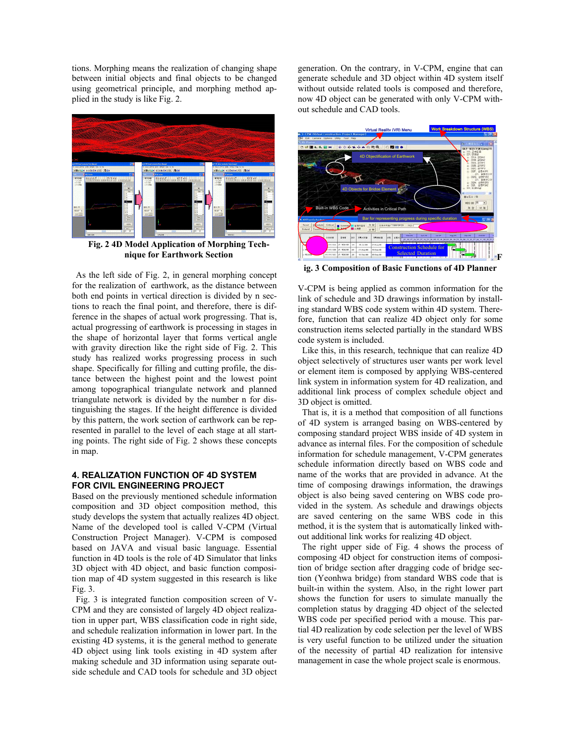tions. Morphing means the realization of changing shape between initial objects and final objects to be changed using geometrical principle, and morphing method applied in the study is like Fig. 2.



**Fig. 2 4D Model Application of Morphing Technique for Earthwork Section** 

As the left side of Fig. 2, in general morphing concept for the realization of earthwork, as the distance between both end points in vertical direction is divided by n sections to reach the final point, and therefore, there is difference in the shapes of actual work progressing. That is, actual progressing of earthwork is processing in stages in the shape of horizontal layer that forms vertical angle with gravity direction like the right side of Fig. 2. This study has realized works progressing process in such shape. Specifically for filling and cutting profile, the distance between the highest point and the lowest point among topographical triangulate network and planned triangulate network is divided by the number n for distinguishing the stages. If the height difference is divided by this pattern, the work section of earthwork can be represented in parallel to the level of each stage at all starting points. The right side of Fig. 2 shows these concepts in map.

## **4. REALIZATION FUNCTION OF 4D SYSTEM FOR CIVIL ENGINEERING PROJECT**

Based on the previously mentioned schedule information composition and 3D object composition method, this study develops the system that actually realizes 4D object. Name of the developed tool is called V-CPM (Virtual Construction Project Manager). V-CPM is composed based on JAVA and visual basic language. Essential function in 4D tools is the role of 4D Simulator that links 3D object with 4D object, and basic function composition map of 4D system suggested in this research is like Fig. 3.

Fig. 3 is integrated function composition screen of V-CPM and they are consisted of largely 4D object realization in upper part, WBS classification code in right side, and schedule realization information in lower part. In the existing 4D systems, it is the general method to generate 4D object using link tools existing in 4D system after making schedule and 3D information using separate outside schedule and CAD tools for schedule and 3D object

generation. On the contrary, in V-CPM, engine that can generate schedule and 3D object within 4D system itself without outside related tools is composed and therefore, now 4D object can be generated with only V-CPM without schedule and CAD tools.



**ig. 3 Composition of Basic Functions of 4D Planner** 

V-CPM is being applied as common information for the link of schedule and 3D drawings information by installing standard WBS code system within 4D system. Therefore, function that can realize 4D object only for some construction items selected partially in the standard WBS code system is included.

 Like this, in this research, technique that can realize 4D object selectively of structures user wants per work level or element item is composed by applying WBS-centered link system in information system for 4D realization, and additional link process of complex schedule object and 3D object is omitted.

 That is, it is a method that composition of all functions of 4D system is arranged basing on WBS-centered by composing standard project WBS inside of 4D system in advance as internal files. For the composition of schedule information for schedule management, V-CPM generates schedule information directly based on WBS code and name of the works that are provided in advance. At the time of composing drawings information, the drawings object is also being saved centering on WBS code provided in the system. As schedule and drawings objects are saved centering on the same WBS code in this method, it is the system that is automatically linked without additional link works for realizing 4D object.

 The right upper side of Fig. 4 shows the process of composing 4D object for construction items of composition of bridge section after dragging code of bridge section (Yeonhwa bridge) from standard WBS code that is built-in within the system. Also, in the right lower part shows the function for users to simulate manually the completion status by dragging 4D object of the selected WBS code per specified period with a mouse. This partial 4D realization by code selection per the level of WBS is very useful function to be utilized under the situation of the necessity of partial 4D realization for intensive management in case the whole project scale is enormous.